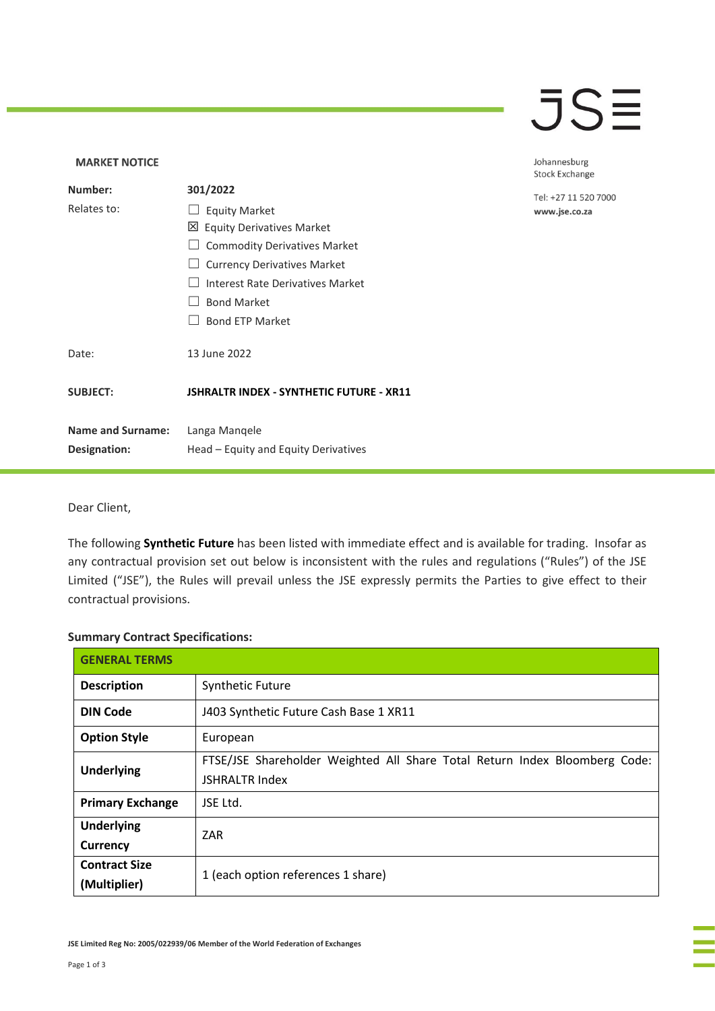### $\overline{\mathsf{J}}\mathsf{S}\overline{\mathsf{H}}$

### **MARKET NOTICE** Johannesburg **Stock Exchange Number: 301/2022** Tel: +27 11 520 7000 Relates to: □ Equity Market www.jse.co.za Equity Derivatives Market □ Commodity Derivatives Market □ Currency Derivatives Market ☐ Interest Rate Derivatives Market ☐ Bond Market □ Bond ETP Market Date: 13 June 2022 **SUBJECT: JSHRALTR INDEX - SYNTHETIC FUTURE - XR11 Name and Surname:** Langa Manqele **Designation:** Head – Equity and Equity Derivatives

#### Dear Client,

The following **Synthetic Future** has been listed with immediate effect and is available for trading. Insofar as any contractual provision set out below is inconsistent with the rules and regulations ("Rules") of the JSE Limited ("JSE"), the Rules will prevail unless the JSE expressly permits the Parties to give effect to their contractual provisions.

#### **Summary Contract Specifications:**

| <b>GENERAL TERMS</b>                 |                                                                                                     |
|--------------------------------------|-----------------------------------------------------------------------------------------------------|
| <b>Description</b>                   | <b>Synthetic Future</b>                                                                             |
| <b>DIN Code</b>                      | J403 Synthetic Future Cash Base 1 XR11                                                              |
| <b>Option Style</b>                  | European                                                                                            |
| <b>Underlying</b>                    | FTSE/JSE Shareholder Weighted All Share Total Return Index Bloomberg Code:<br><b>JSHRALTR Index</b> |
| <b>Primary Exchange</b>              | JSE Ltd.                                                                                            |
| <b>Underlying</b><br>Currency        | ZAR                                                                                                 |
| <b>Contract Size</b><br>(Multiplier) | 1 (each option references 1 share)                                                                  |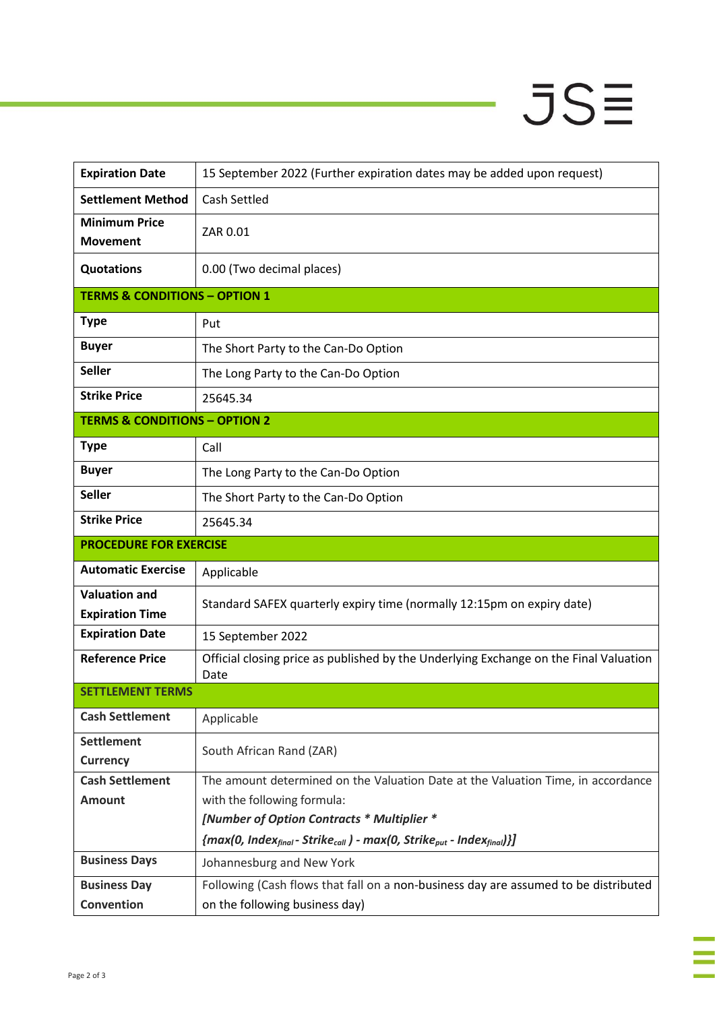# $JSE$

| <b>Expiration Date</b>                   | 15 September 2022 (Further expiration dates may be added upon request)                                         |
|------------------------------------------|----------------------------------------------------------------------------------------------------------------|
| <b>Settlement Method</b>                 | <b>Cash Settled</b>                                                                                            |
| <b>Minimum Price</b><br><b>Movement</b>  | ZAR 0.01                                                                                                       |
| <b>Quotations</b>                        | 0.00 (Two decimal places)                                                                                      |
| <b>TERMS &amp; CONDITIONS - OPTION 1</b> |                                                                                                                |
| <b>Type</b>                              | Put                                                                                                            |
| <b>Buyer</b>                             | The Short Party to the Can-Do Option                                                                           |
| <b>Seller</b>                            | The Long Party to the Can-Do Option                                                                            |
| <b>Strike Price</b>                      | 25645.34                                                                                                       |
| <b>TERMS &amp; CONDITIONS - OPTION 2</b> |                                                                                                                |
| <b>Type</b>                              | Call                                                                                                           |
| <b>Buyer</b>                             | The Long Party to the Can-Do Option                                                                            |
| <b>Seller</b>                            | The Short Party to the Can-Do Option                                                                           |
| <b>Strike Price</b>                      | 25645.34                                                                                                       |
| <b>PROCEDURE FOR EXERCISE</b>            |                                                                                                                |
| <b>Automatic Exercise</b>                | Applicable                                                                                                     |
| <b>Valuation and</b>                     | Standard SAFEX quarterly expiry time (normally 12:15pm on expiry date)                                         |
| <b>Expiration Time</b>                   |                                                                                                                |
| <b>Expiration Date</b>                   | 15 September 2022                                                                                              |
| <b>Reference Price</b>                   | Official closing price as published by the Underlying Exchange on the Final Valuation<br>Date                  |
| <b>SETTLEMENT TERMS</b>                  |                                                                                                                |
| <b>Cash Settlement</b>                   | Applicable                                                                                                     |
| <b>Settlement</b><br><b>Currency</b>     | South African Rand (ZAR)                                                                                       |
| <b>Cash Settlement</b>                   | The amount determined on the Valuation Date at the Valuation Time, in accordance                               |
| <b>Amount</b>                            | with the following formula:                                                                                    |
|                                          | [Number of Option Contracts * Multiplier *                                                                     |
| <b>Business Days</b>                     | ${max(0, Index_{final} - Strike_{call}) - max(0, Strike_{put} - Index_{final})}\$<br>Johannesburg and New York |